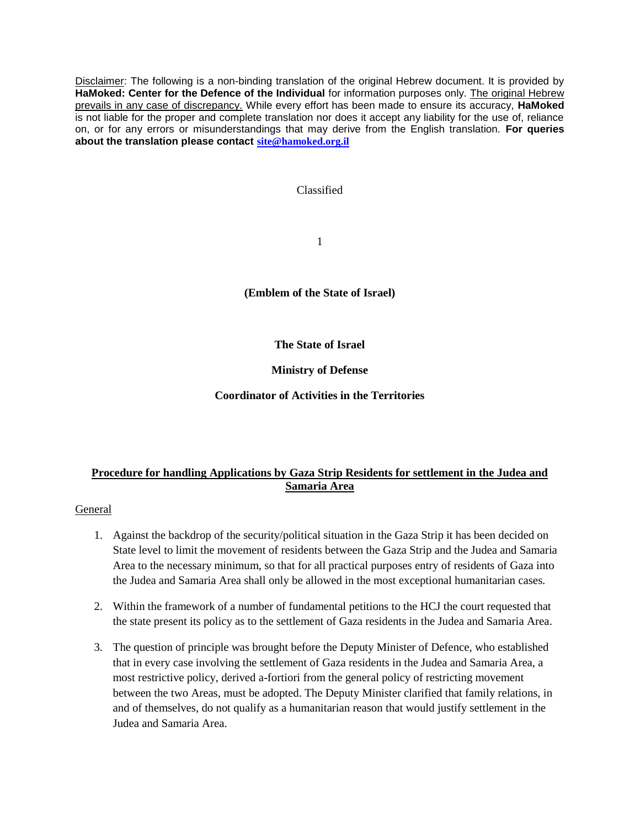Disclaimer: The following is a non-binding translation of the original Hebrew document. It is provided by **HaMoked: Center for the Defence of the Individual** for information purposes only. The original Hebrew prevails in any case of discrepancy. While every effort has been made to ensure its accuracy, **HaMoked** is not liable for the proper and complete translation nor does it accept any liability for the use of, reliance on, or for any errors or misunderstandings that may derive from the English translation. **For queries about the translation please contact [site@hamoked.org.il](mailto:site@hamoked.org.il)**

## Classified

1

**(Emblem of the State of Israel)**

**The State of Israel**

**Ministry of Defense**

**Coordinator of Activities in the Territories**

# **Procedure for handling Applications by Gaza Strip Residents for settlement in the Judea and Samaria Area**

### General

- 1. Against the backdrop of the security/political situation in the Gaza Strip it has been decided on State level to limit the movement of residents between the Gaza Strip and the Judea and Samaria Area to the necessary minimum, so that for all practical purposes entry of residents of Gaza into the Judea and Samaria Area shall only be allowed in the most exceptional humanitarian cases.
- 2. Within the framework of a number of fundamental petitions to the HCJ the court requested that the state present its policy as to the settlement of Gaza residents in the Judea and Samaria Area.
- 3. The question of principle was brought before the Deputy Minister of Defence, who established that in every case involving the settlement of Gaza residents in the Judea and Samaria Area, a most restrictive policy, derived a-fortiori from the general policy of restricting movement between the two Areas, must be adopted. The Deputy Minister clarified that family relations, in and of themselves, do not qualify as a humanitarian reason that would justify settlement in the Judea and Samaria Area.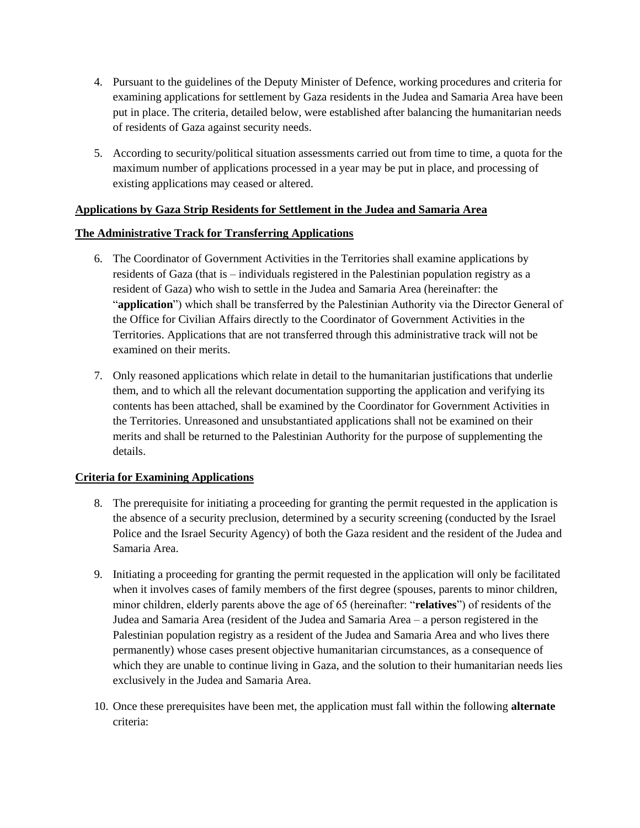- 4. Pursuant to the guidelines of the Deputy Minister of Defence, working procedures and criteria for examining applications for settlement by Gaza residents in the Judea and Samaria Area have been put in place. The criteria, detailed below, were established after balancing the humanitarian needs of residents of Gaza against security needs.
- 5. According to security/political situation assessments carried out from time to time, a quota for the maximum number of applications processed in a year may be put in place, and processing of existing applications may ceased or altered.

## **Applications by Gaza Strip Residents for Settlement in the Judea and Samaria Area**

### **The Administrative Track for Transferring Applications**

- 6. The Coordinator of Government Activities in the Territories shall examine applications by residents of Gaza (that is – individuals registered in the Palestinian population registry as a resident of Gaza) who wish to settle in the Judea and Samaria Area (hereinafter: the "**application**") which shall be transferred by the Palestinian Authority via the Director General of the Office for Civilian Affairs directly to the Coordinator of Government Activities in the Territories. Applications that are not transferred through this administrative track will not be examined on their merits.
- 7. Only reasoned applications which relate in detail to the humanitarian justifications that underlie them, and to which all the relevant documentation supporting the application and verifying its contents has been attached, shall be examined by the Coordinator for Government Activities in the Territories. Unreasoned and unsubstantiated applications shall not be examined on their merits and shall be returned to the Palestinian Authority for the purpose of supplementing the details.

### **Criteria for Examining Applications**

- 8. The prerequisite for initiating a proceeding for granting the permit requested in the application is the absence of a security preclusion, determined by a security screening (conducted by the Israel Police and the Israel Security Agency) of both the Gaza resident and the resident of the Judea and Samaria Area.
- 9. Initiating a proceeding for granting the permit requested in the application will only be facilitated when it involves cases of family members of the first degree (spouses, parents to minor children, minor children, elderly parents above the age of 65 (hereinafter: "**relatives**") of residents of the Judea and Samaria Area (resident of the Judea and Samaria Area – a person registered in the Palestinian population registry as a resident of the Judea and Samaria Area and who lives there permanently) whose cases present objective humanitarian circumstances, as a consequence of which they are unable to continue living in Gaza, and the solution to their humanitarian needs lies exclusively in the Judea and Samaria Area.
- 10. Once these prerequisites have been met, the application must fall within the following **alternate** criteria: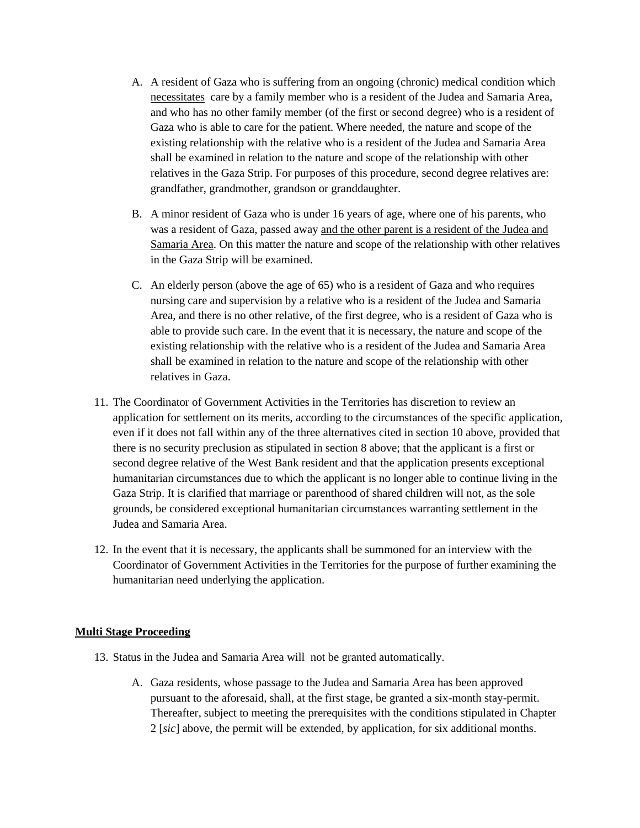- A. A resident of Gaza who is suffering from an ongoing (chronic) medical condition which necessitates care by a family member who is a resident of the Judea and Samaria Area, and who has no other family member (of the first or second degree) who is a resident of Gaza who is able to care for the patient. Where needed, the nature and scope of the existing relationship with the relative who is a resident of the Judea and Samaria Area shall be examined in relation to the nature and scope of the relationship with other relatives in the Gaza Strip. For purposes of this procedure, second degree relatives are: grandfather, grandmother, grandson or granddaughter.
- B. A minor resident of Gaza who is under 16 years of age, where one of his parents, who was a resident of Gaza, passed away and the other parent is a resident of the Judea and Samaria Area. On this matter the nature and scope of the relationship with other relatives in the Gaza Strip will be examined.
- C. An elderly person (above the age of 65) who is a resident of Gaza and who requires nursing care and supervision by a relative who is a resident of the Judea and Samaria Area, and there is no other relative, of the first degree, who is a resident of Gaza who is able to provide such care. In the event that it is necessary, the nature and scope of the existing relationship with the relative who is a resident of the Judea and Samaria Area shall be examined in relation to the nature and scope of the relationship with other relatives in Gaza.
- 11. The Coordinator of Government Activities in the Territories has discretion to review an application for settlement on its merits, according to the circumstances of the specific application, even if it does not fall within any of the three alternatives cited in section 10 above, provided that there is no security preclusion as stipulated in section 8 above; that the applicant is a first or second degree relative of the West Bank resident and that the application presents exceptional humanitarian circumstances due to which the applicant is no longer able to continue living in the Gaza Strip. It is clarified that marriage or parenthood of shared children will not, as the sole grounds, be considered exceptional humanitarian circumstances warranting settlement in the Judea and Samaria Area.
- 12. In the event that it is necessary, the applicants shall be summoned for an interview with the Coordinator of Government Activities in the Territories for the purpose of further examining the humanitarian need underlying the application.

### **Multi Stage Proceeding**

- 13. Status in the Judea and Samaria Area will not be granted automatically.
	- A. Gaza residents, whose passage to the Judea and Samaria Area has been approved pursuant to the aforesaid, shall, at the first stage, be granted a six-month stay-permit. Thereafter, subject to meeting the prerequisites with the conditions stipulated in Chapter 2 [*sic*] above, the permit will be extended, by application, for six additional months.